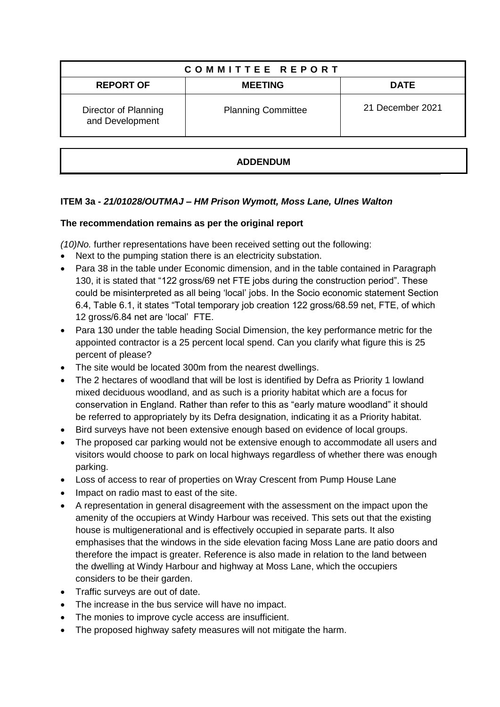| COMMITTEE REPORT                        |                           |                  |
|-----------------------------------------|---------------------------|------------------|
| <b>REPORT OF</b>                        | <b>MEETING</b>            | <b>DATE</b>      |
| Director of Planning<br>and Development | <b>Planning Committee</b> | 21 December 2021 |

# **ADDENDUM**

# **ITEM 3a -** *21/01028/OUTMAJ – HM Prison Wymott, Moss Lane, Ulnes Walton*

### **The recommendation remains as per the original report**

*(10)No.* further representations have been received setting out the following:

- Next to the pumping station there is an electricity substation.
- Para 38 in the table under Economic dimension, and in the table contained in Paragraph 130, it is stated that "122 gross/69 net FTE jobs during the construction period". These could be misinterpreted as all being 'local' jobs. In the Socio economic statement Section 6.4, Table 6.1, it states "Total temporary job creation 122 gross/68.59 net, FTE, of which 12 gross/6.84 net are 'local' FTE.
- Para 130 under the table heading Social Dimension, the key performance metric for the appointed contractor is a 25 percent local spend. Can you clarify what figure this is 25 percent of please?
- The site would be located 300m from the nearest dwellings.
- The 2 hectares of woodland that will be lost is identified by Defra as Priority 1 lowland mixed deciduous woodland, and as such is a priority habitat which are a focus for conservation in England. Rather than refer to this as "early mature woodland" it should be referred to appropriately by its Defra designation, indicating it as a Priority habitat.
- Bird surveys have not been extensive enough based on evidence of local groups.
- The proposed car parking would not be extensive enough to accommodate all users and visitors would choose to park on local highways regardless of whether there was enough parking.
- Loss of access to rear of properties on Wray Crescent from Pump House Lane
- Impact on radio mast to east of the site.
- A representation in general disagreement with the assessment on the impact upon the amenity of the occupiers at Windy Harbour was received. This sets out that the existing house is multigenerational and is effectively occupied in separate parts. It also emphasises that the windows in the side elevation facing Moss Lane are patio doors and therefore the impact is greater. Reference is also made in relation to the land between the dwelling at Windy Harbour and highway at Moss Lane, which the occupiers considers to be their garden.
- Traffic surveys are out of date.
- The increase in the bus service will have no impact.
- The monies to improve cycle access are insufficient.
- The proposed highway safety measures will not mitigate the harm.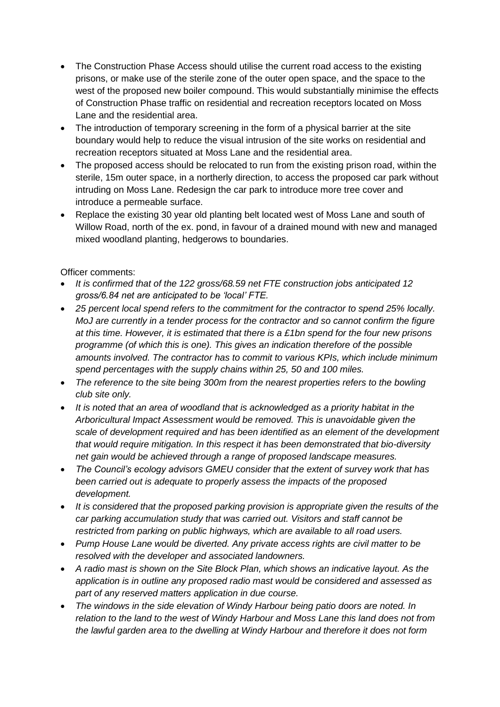- The Construction Phase Access should utilise the current road access to the existing prisons, or make use of the sterile zone of the outer open space, and the space to the west of the proposed new boiler compound. This would substantially minimise the effects of Construction Phase traffic on residential and recreation receptors located on Moss Lane and the residential area.
- The introduction of temporary screening in the form of a physical barrier at the site boundary would help to reduce the visual intrusion of the site works on residential and recreation receptors situated at Moss Lane and the residential area.
- The proposed access should be relocated to run from the existing prison road, within the sterile, 15m outer space, in a northerly direction, to access the proposed car park without intruding on Moss Lane. Redesign the car park to introduce more tree cover and introduce a permeable surface.
- Replace the existing 30 year old planting belt located west of Moss Lane and south of Willow Road, north of the ex. pond, in favour of a drained mound with new and managed mixed woodland planting, hedgerows to boundaries.

Officer comments:

- *It is confirmed that of the 122 gross/68.59 net FTE construction jobs anticipated 12 gross/6.84 net are anticipated to be 'local' FTE.*
- *25 percent local spend refers to the commitment for the contractor to spend 25% locally. MoJ are currently in a tender process for the contractor and so cannot confirm the figure at this time. However, it is estimated that there is a £1bn spend for the four new prisons programme (of which this is one). This gives an indication therefore of the possible amounts involved. The contractor has to commit to various KPIs, which include minimum spend percentages with the supply chains within 25, 50 and 100 miles.*
- *The reference to the site being 300m from the nearest properties refers to the bowling club site only.*
- *It is noted that an area of woodland that is acknowledged as a priority habitat in the Arboricultural Impact Assessment would be removed. This is unavoidable given the scale of development required and has been identified as an element of the development that would require mitigation. In this respect it has been demonstrated that bio-diversity net gain would be achieved through a range of proposed landscape measures.*
- *The Council's ecology advisors GMEU consider that the extent of survey work that has been carried out is adequate to properly assess the impacts of the proposed development.*
- *It is considered that the proposed parking provision is appropriate given the results of the car parking accumulation study that was carried out. Visitors and staff cannot be restricted from parking on public highways, which are available to all road users.*
- *Pump House Lane would be diverted. Any private access rights are civil matter to be resolved with the developer and associated landowners.*
- *A radio mast is shown on the Site Block Plan, which shows an indicative layout. As the application is in outline any proposed radio mast would be considered and assessed as part of any reserved matters application in due course.*
- *The windows in the side elevation of Windy Harbour being patio doors are noted. In relation to the land to the west of Windy Harbour and Moss Lane this land does not from the lawful garden area to the dwelling at Windy Harbour and therefore it does not form*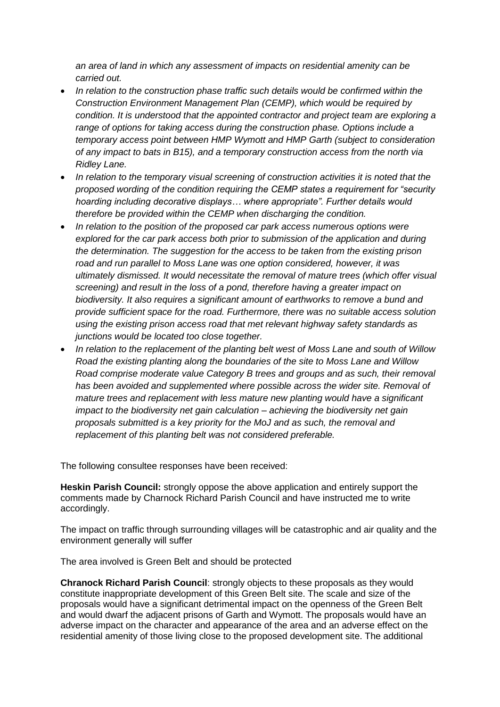*an area of land in which any assessment of impacts on residential amenity can be carried out.* 

- *In relation to the construction phase traffic such details would be confirmed within the Construction Environment Management Plan (CEMP), which would be required by condition. It is understood that the appointed contractor and project team are exploring a range of options for taking access during the construction phase. Options include a temporary access point between HMP Wymott and HMP Garth (subject to consideration of any impact to bats in B15), and a temporary construction access from the north via Ridley Lane.*
- *In relation to the temporary visual screening of construction activities it is noted that the proposed wording of the condition requiring the CEMP states a requirement for "security hoarding including decorative displays… where appropriate". Further details would therefore be provided within the CEMP when discharging the condition.*
- *In relation to the position of the proposed car park access numerous options were explored for the car park access both prior to submission of the application and during the determination. The suggestion for the access to be taken from the existing prison road and run parallel to Moss Lane was one option considered, however, it was ultimately dismissed. It would necessitate the removal of mature trees (which offer visual screening) and result in the loss of a pond, therefore having a greater impact on biodiversity. It also requires a significant amount of earthworks to remove a bund and provide sufficient space for the road. Furthermore, there was no suitable access solution using the existing prison access road that met relevant highway safety standards as junctions would be located too close together.*
- *In relation to the replacement of the planting belt west of Moss Lane and south of Willow Road the existing planting along the boundaries of the site to Moss Lane and Willow Road comprise moderate value Category B trees and groups and as such, their removal*  has been avoided and supplemented where possible across the wider site. Removal of *mature trees and replacement with less mature new planting would have a significant impact to the biodiversity net gain calculation – achieving the biodiversity net gain proposals submitted is a key priority for the MoJ and as such, the removal and replacement of this planting belt was not considered preferable.*

The following consultee responses have been received:

**Heskin Parish Council:** strongly oppose the above application and entirely support the comments made by Charnock Richard Parish Council and have instructed me to write accordingly.

The impact on traffic through surrounding villages will be catastrophic and air quality and the environment generally will suffer

The area involved is Green Belt and should be protected

**Chranock Richard Parish Council**: strongly objects to these proposals as they would constitute inappropriate development of this Green Belt site. The scale and size of the proposals would have a significant detrimental impact on the openness of the Green Belt and would dwarf the adjacent prisons of Garth and Wymott. The proposals would have an adverse impact on the character and appearance of the area and an adverse effect on the residential amenity of those living close to the proposed development site. The additional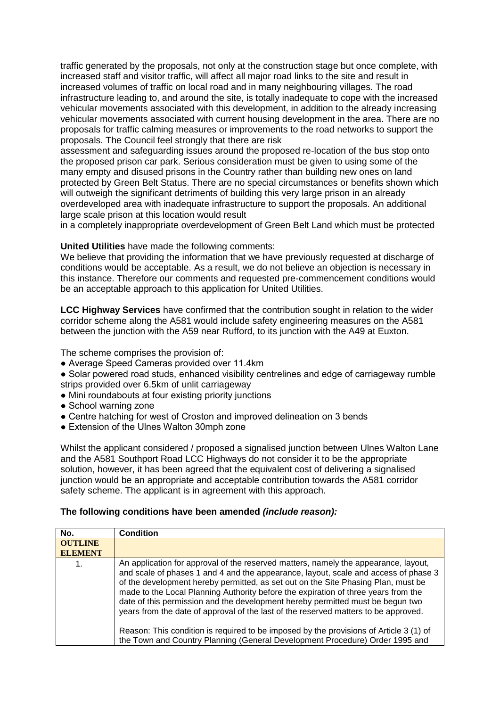traffic generated by the proposals, not only at the construction stage but once complete, with increased staff and visitor traffic, will affect all major road links to the site and result in increased volumes of traffic on local road and in many neighbouring villages. The road infrastructure leading to, and around the site, is totally inadequate to cope with the increased vehicular movements associated with this development, in addition to the already increasing vehicular movements associated with current housing development in the area. There are no proposals for traffic calming measures or improvements to the road networks to support the proposals. The Council feel strongly that there are risk

assessment and safeguarding issues around the proposed re-location of the bus stop onto the proposed prison car park. Serious consideration must be given to using some of the many empty and disused prisons in the Country rather than building new ones on land protected by Green Belt Status. There are no special circumstances or benefits shown which will outweigh the significant detriments of building this very large prison in an already overdeveloped area with inadequate infrastructure to support the proposals. An additional large scale prison at this location would result

in a completely inappropriate overdevelopment of Green Belt Land which must be protected

#### **United Utilities** have made the following comments:

We believe that providing the information that we have previously requested at discharge of conditions would be acceptable. As a result, we do not believe an objection is necessary in this instance. Therefore our comments and requested pre-commencement conditions would be an acceptable approach to this application for United Utilities.

**LCC Highway Services** have confirmed that the contribution sought in relation to the wider corridor scheme along the A581 would include safety engineering measures on the A581 between the junction with the A59 near Rufford, to its junction with the A49 at Euxton.

The scheme comprises the provision of:

- Average Speed Cameras provided over 11.4km
- Solar powered road studs, enhanced visibility centrelines and edge of carriageway rumble strips provided over 6.5km of unlit carriageway
- Mini roundabouts at four existing priority junctions
- School warning zone
- Centre hatching for west of Croston and improved delineation on 3 bends
- Extension of the Ulnes Walton 30mph zone

Whilst the applicant considered / proposed a signalised junction between Ulnes Walton Lane and the A581 Southport Road LCC Highways do not consider it to be the appropriate solution, however, it has been agreed that the equivalent cost of delivering a signalised junction would be an appropriate and acceptable contribution towards the A581 corridor safety scheme. The applicant is in agreement with this approach.

#### **The following conditions have been amended** *(include reason):*

| No.            | <b>Condition</b>                                                                                                                                                                                                                                                                                                                                                                                                                                                                                                                                                                                                         |
|----------------|--------------------------------------------------------------------------------------------------------------------------------------------------------------------------------------------------------------------------------------------------------------------------------------------------------------------------------------------------------------------------------------------------------------------------------------------------------------------------------------------------------------------------------------------------------------------------------------------------------------------------|
| <b>OUTLINE</b> |                                                                                                                                                                                                                                                                                                                                                                                                                                                                                                                                                                                                                          |
| <b>ELEMENT</b> |                                                                                                                                                                                                                                                                                                                                                                                                                                                                                                                                                                                                                          |
| 1.             | An application for approval of the reserved matters, namely the appearance, layout,<br>and scale of phases 1 and 4 and the appearance, layout, scale and access of phase 3<br>of the development hereby permitted, as set out on the Site Phasing Plan, must be<br>made to the Local Planning Authority before the expiration of three years from the<br>date of this permission and the development hereby permitted must be begun two<br>years from the date of approval of the last of the reserved matters to be approved.<br>Reason: This condition is required to be imposed by the provisions of Article 3 (1) of |
|                | the Town and Country Planning (General Development Procedure) Order 1995 and                                                                                                                                                                                                                                                                                                                                                                                                                                                                                                                                             |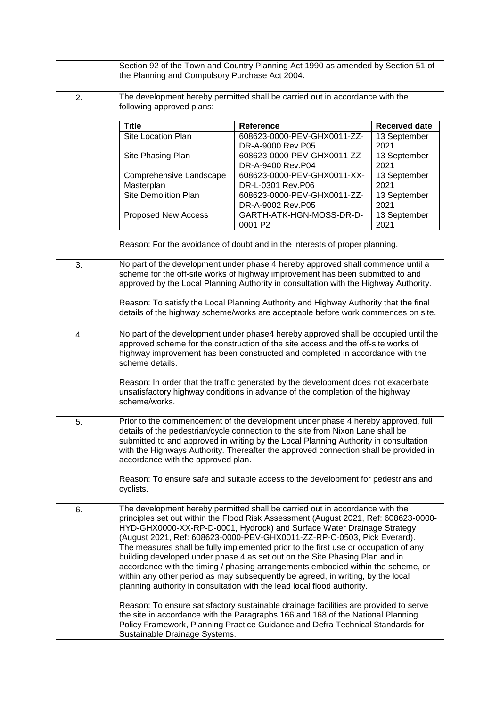|    | Section 92 of the Town and Country Planning Act 1990 as amended by Section 51 of<br>the Planning and Compulsory Purchase Act 2004.                                                                                                                                                                                                                                                                                                                                                                                                                                                                                                                                                                                                               |                                                                                                                                                                                                                                                           |                      |
|----|--------------------------------------------------------------------------------------------------------------------------------------------------------------------------------------------------------------------------------------------------------------------------------------------------------------------------------------------------------------------------------------------------------------------------------------------------------------------------------------------------------------------------------------------------------------------------------------------------------------------------------------------------------------------------------------------------------------------------------------------------|-----------------------------------------------------------------------------------------------------------------------------------------------------------------------------------------------------------------------------------------------------------|----------------------|
|    |                                                                                                                                                                                                                                                                                                                                                                                                                                                                                                                                                                                                                                                                                                                                                  |                                                                                                                                                                                                                                                           |                      |
| 2. | The development hereby permitted shall be carried out in accordance with the<br>following approved plans:                                                                                                                                                                                                                                                                                                                                                                                                                                                                                                                                                                                                                                        |                                                                                                                                                                                                                                                           |                      |
|    | <b>Title</b>                                                                                                                                                                                                                                                                                                                                                                                                                                                                                                                                                                                                                                                                                                                                     | Reference                                                                                                                                                                                                                                                 | <b>Received date</b> |
|    | Site Location Plan                                                                                                                                                                                                                                                                                                                                                                                                                                                                                                                                                                                                                                                                                                                               | 608623-0000-PEV-GHX0011-ZZ-<br>DR-A-9000 Rev.P05                                                                                                                                                                                                          | 13 September<br>2021 |
|    | Site Phasing Plan                                                                                                                                                                                                                                                                                                                                                                                                                                                                                                                                                                                                                                                                                                                                | 608623-0000-PEV-GHX0011-ZZ-<br>DR-A-9400 Rev.P04                                                                                                                                                                                                          | 13 September<br>2021 |
|    | Comprehensive Landscape<br>Masterplan                                                                                                                                                                                                                                                                                                                                                                                                                                                                                                                                                                                                                                                                                                            | 608623-0000-PEV-GHX0011-XX-<br>DR-L-0301 Rev.P06                                                                                                                                                                                                          | 13 September<br>2021 |
|    | <b>Site Demolition Plan</b>                                                                                                                                                                                                                                                                                                                                                                                                                                                                                                                                                                                                                                                                                                                      | 608623-0000-PEV-GHX0011-ZZ-<br>DR-A-9002 Rev.P05                                                                                                                                                                                                          | 13 September<br>2021 |
|    | Proposed New Access                                                                                                                                                                                                                                                                                                                                                                                                                                                                                                                                                                                                                                                                                                                              | GARTH-ATK-HGN-MOSS-DR-D-<br>0001 P2                                                                                                                                                                                                                       | 13 September<br>2021 |
|    |                                                                                                                                                                                                                                                                                                                                                                                                                                                                                                                                                                                                                                                                                                                                                  | Reason: For the avoidance of doubt and in the interests of proper planning.                                                                                                                                                                               |                      |
| 3. |                                                                                                                                                                                                                                                                                                                                                                                                                                                                                                                                                                                                                                                                                                                                                  | No part of the development under phase 4 hereby approved shall commence until a<br>scheme for the off-site works of highway improvement has been submitted to and<br>approved by the Local Planning Authority in consultation with the Highway Authority. |                      |
|    | Reason: To satisfy the Local Planning Authority and Highway Authority that the final<br>details of the highway scheme/works are acceptable before work commences on site.                                                                                                                                                                                                                                                                                                                                                                                                                                                                                                                                                                        |                                                                                                                                                                                                                                                           |                      |
| 4. | No part of the development under phase4 hereby approved shall be occupied until the<br>approved scheme for the construction of the site access and the off-site works of<br>highway improvement has been constructed and completed in accordance with the<br>scheme details.                                                                                                                                                                                                                                                                                                                                                                                                                                                                     |                                                                                                                                                                                                                                                           |                      |
|    | scheme/works.                                                                                                                                                                                                                                                                                                                                                                                                                                                                                                                                                                                                                                                                                                                                    | Reason: In order that the traffic generated by the development does not exacerbate<br>unsatisfactory highway conditions in advance of the completion of the highway                                                                                       |                      |
| 5. | Prior to the commencement of the development under phase 4 hereby approved, full<br>details of the pedestrian/cycle connection to the site from Nixon Lane shall be<br>submitted to and approved in writing by the Local Planning Authority in consultation<br>with the Highways Authority. Thereafter the approved connection shall be provided in<br>accordance with the approved plan.                                                                                                                                                                                                                                                                                                                                                        |                                                                                                                                                                                                                                                           |                      |
|    | cyclists.                                                                                                                                                                                                                                                                                                                                                                                                                                                                                                                                                                                                                                                                                                                                        | Reason: To ensure safe and suitable access to the development for pedestrians and                                                                                                                                                                         |                      |
| 6. | The development hereby permitted shall be carried out in accordance with the<br>principles set out within the Flood Risk Assessment (August 2021, Ref: 608623-0000-<br>HYD-GHX0000-XX-RP-D-0001, Hydrock) and Surface Water Drainage Strategy<br>(August 2021, Ref: 608623-0000-PEV-GHX0011-ZZ-RP-C-0503, Pick Everard).<br>The measures shall be fully implemented prior to the first use or occupation of any<br>building developed under phase 4 as set out on the Site Phasing Plan and in<br>accordance with the timing / phasing arrangements embodied within the scheme, or<br>within any other period as may subsequently be agreed, in writing, by the local<br>planning authority in consultation with the lead local flood authority. |                                                                                                                                                                                                                                                           |                      |
|    | Sustainable Drainage Systems.                                                                                                                                                                                                                                                                                                                                                                                                                                                                                                                                                                                                                                                                                                                    | Reason: To ensure satisfactory sustainable drainage facilities are provided to serve<br>the site in accordance with the Paragraphs 166 and 168 of the National Planning<br>Policy Framework, Planning Practice Guidance and Defra Technical Standards for |                      |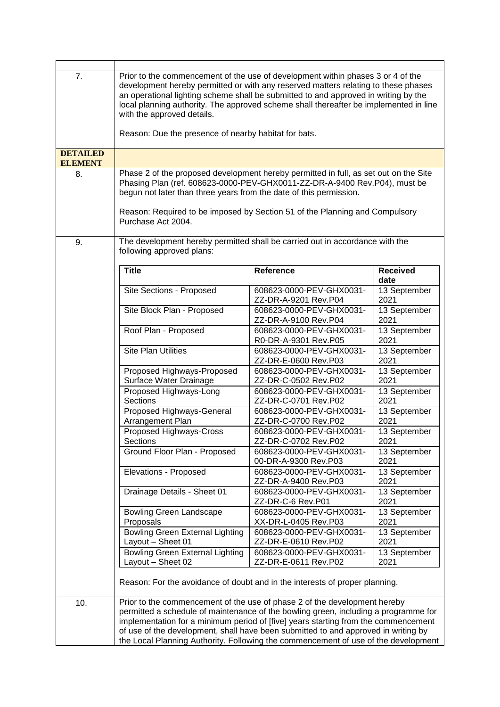| 7.              | Prior to the commencement of the use of development within phases 3 or 4 of the<br>development hereby permitted or with any reserved matters relating to these phases<br>an operational lighting scheme shall be submitted to and approved in writing by the<br>local planning authority. The approved scheme shall thereafter be implemented in line<br>with the approved details.<br>Reason: Due the presence of nearby habitat for bats. |                                                  |                         |
|-----------------|---------------------------------------------------------------------------------------------------------------------------------------------------------------------------------------------------------------------------------------------------------------------------------------------------------------------------------------------------------------------------------------------------------------------------------------------|--------------------------------------------------|-------------------------|
| <b>DETAILED</b> |                                                                                                                                                                                                                                                                                                                                                                                                                                             |                                                  |                         |
| <b>ELEMENT</b>  |                                                                                                                                                                                                                                                                                                                                                                                                                                             |                                                  |                         |
| 8.              | Phase 2 of the proposed development hereby permitted in full, as set out on the Site<br>Phasing Plan (ref. 608623-0000-PEV-GHX0011-ZZ-DR-A-9400 Rev. P04), must be<br>begun not later than three years from the date of this permission.<br>Reason: Required to be imposed by Section 51 of the Planning and Compulsory<br>Purchase Act 2004.                                                                                               |                                                  |                         |
| 9.              | The development hereby permitted shall be carried out in accordance with the<br>following approved plans:                                                                                                                                                                                                                                                                                                                                   |                                                  |                         |
|                 | <b>Title</b>                                                                                                                                                                                                                                                                                                                                                                                                                                | <b>Reference</b>                                 | <b>Received</b><br>date |
|                 | Site Sections - Proposed                                                                                                                                                                                                                                                                                                                                                                                                                    | 608623-0000-PEV-GHX0031-<br>ZZ-DR-A-9201 Rev.P04 | 13 September<br>2021    |
|                 | Site Block Plan - Proposed                                                                                                                                                                                                                                                                                                                                                                                                                  | 608623-0000-PEV-GHX0031-<br>ZZ-DR-A-9100 Rev.P04 | 13 September<br>2021    |
|                 | Roof Plan - Proposed                                                                                                                                                                                                                                                                                                                                                                                                                        | 608623-0000-PEV-GHX0031-<br>R0-DR-A-9301 Rev.P05 | 13 September<br>2021    |
|                 | <b>Site Plan Utilities</b>                                                                                                                                                                                                                                                                                                                                                                                                                  | 608623-0000-PEV-GHX0031-<br>ZZ-DR-E-0600 Rev.P03 | 13 September<br>2021    |
|                 | Proposed Highways-Proposed<br>Surface Water Drainage                                                                                                                                                                                                                                                                                                                                                                                        | 608623-0000-PEV-GHX0031-<br>ZZ-DR-C-0502 Rev.P02 | 13 September<br>2021    |
|                 | Proposed Highways-Long<br>Sections                                                                                                                                                                                                                                                                                                                                                                                                          | 608623-0000-PEV-GHX0031-<br>ZZ-DR-C-0701 Rev.P02 | 13 September<br>2021    |
|                 | Proposed Highways-General<br>Arrangement Plan                                                                                                                                                                                                                                                                                                                                                                                               | 608623-0000-PEV-GHX0031-<br>ZZ-DR-C-0700 Rev.P02 | 13 September<br>2021    |
|                 | Proposed Highways-Cross<br>Sections                                                                                                                                                                                                                                                                                                                                                                                                         | 608623-0000-PEV-GHX0031-<br>ZZ-DR-C-0702 Rev.P02 | 13 September<br>2021    |
|                 | Ground Floor Plan - Proposed                                                                                                                                                                                                                                                                                                                                                                                                                | 608623-0000-PEV-GHX0031-<br>00-DR-A-9300 Rev.P03 | 13 September<br>2021    |
|                 | Elevations - Proposed                                                                                                                                                                                                                                                                                                                                                                                                                       | 608623-0000-PEV-GHX0031-<br>ZZ-DR-A-9400 Rev.P03 | 13 September<br>2021    |
|                 | Drainage Details - Sheet 01                                                                                                                                                                                                                                                                                                                                                                                                                 | 608623-0000-PEV-GHX0031-<br>ZZ-DR-C-6 Rev.P01    | 13 September<br>2021    |
|                 | <b>Bowling Green Landscape</b><br>Proposals                                                                                                                                                                                                                                                                                                                                                                                                 | 608623-0000-PEV-GHX0031-<br>XX-DR-L-0405 Rev.P03 | 13 September<br>2021    |
|                 | <b>Bowling Green External Lighting</b><br>Layout - Sheet 01                                                                                                                                                                                                                                                                                                                                                                                 | 608623-0000-PEV-GHX0031-<br>ZZ-DR-E-0610 Rev.P02 | 13 September<br>2021    |
|                 | <b>Bowling Green External Lighting</b><br>Layout - Sheet 02                                                                                                                                                                                                                                                                                                                                                                                 | 608623-0000-PEV-GHX0031-<br>ZZ-DR-E-0611 Rev.P02 | 13 September<br>2021    |
|                 | Reason: For the avoidance of doubt and in the interests of proper planning.                                                                                                                                                                                                                                                                                                                                                                 |                                                  |                         |
| 10.             | Prior to the commencement of the use of phase 2 of the development hereby<br>permitted a schedule of maintenance of the bowling green, including a programme for<br>implementation for a minimum period of [five] years starting from the commencement<br>of use of the development, shall have been submitted to and approved in writing by<br>the Local Planning Authority. Following the commencement of use of the development          |                                                  |                         |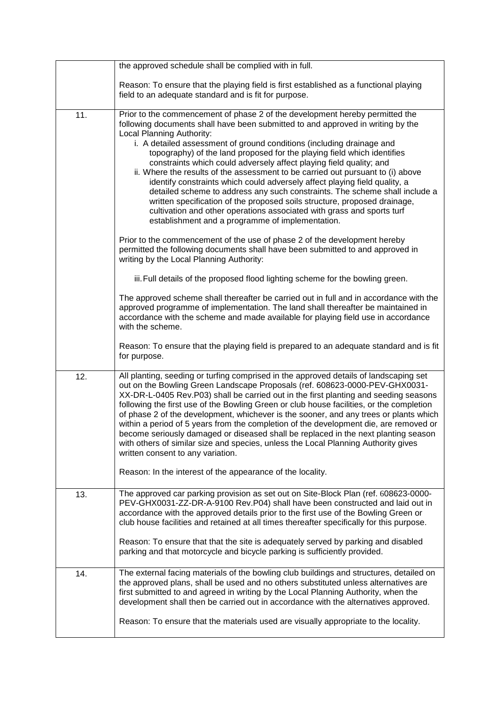|     | the approved schedule shall be complied with in full.                                                                                                                                                                                                                                                                                                                                                                                                                                                                                                                                                                                                                                                                                                                                                                                                                                                                                                                                                                                                                                         |
|-----|-----------------------------------------------------------------------------------------------------------------------------------------------------------------------------------------------------------------------------------------------------------------------------------------------------------------------------------------------------------------------------------------------------------------------------------------------------------------------------------------------------------------------------------------------------------------------------------------------------------------------------------------------------------------------------------------------------------------------------------------------------------------------------------------------------------------------------------------------------------------------------------------------------------------------------------------------------------------------------------------------------------------------------------------------------------------------------------------------|
|     | Reason: To ensure that the playing field is first established as a functional playing<br>field to an adequate standard and is fit for purpose.                                                                                                                                                                                                                                                                                                                                                                                                                                                                                                                                                                                                                                                                                                                                                                                                                                                                                                                                                |
| 11. | Prior to the commencement of phase 2 of the development hereby permitted the<br>following documents shall have been submitted to and approved in writing by the<br>Local Planning Authority:<br>i. A detailed assessment of ground conditions (including drainage and<br>topography) of the land proposed for the playing field which identifies<br>constraints which could adversely affect playing field quality; and<br>ii. Where the results of the assessment to be carried out pursuant to (i) above<br>identify constraints which could adversely affect playing field quality, a<br>detailed scheme to address any such constraints. The scheme shall include a<br>written specification of the proposed soils structure, proposed drainage,<br>cultivation and other operations associated with grass and sports turf<br>establishment and a programme of implementation.<br>Prior to the commencement of the use of phase 2 of the development hereby<br>permitted the following documents shall have been submitted to and approved in<br>writing by the Local Planning Authority: |
|     | iii. Full details of the proposed flood lighting scheme for the bowling green.                                                                                                                                                                                                                                                                                                                                                                                                                                                                                                                                                                                                                                                                                                                                                                                                                                                                                                                                                                                                                |
|     | The approved scheme shall thereafter be carried out in full and in accordance with the<br>approved programme of implementation. The land shall thereafter be maintained in<br>accordance with the scheme and made available for playing field use in accordance<br>with the scheme.                                                                                                                                                                                                                                                                                                                                                                                                                                                                                                                                                                                                                                                                                                                                                                                                           |
|     | Reason: To ensure that the playing field is prepared to an adequate standard and is fit<br>for purpose.                                                                                                                                                                                                                                                                                                                                                                                                                                                                                                                                                                                                                                                                                                                                                                                                                                                                                                                                                                                       |
| 12. | All planting, seeding or turfing comprised in the approved details of landscaping set<br>out on the Bowling Green Landscape Proposals (ref. 608623-0000-PEV-GHX0031-<br>XX-DR-L-0405 Rev.P03) shall be carried out in the first planting and seeding seasons<br>following the first use of the Bowling Green or club house facilities, or the completion<br>of phase 2 of the development, whichever is the sooner, and any trees or plants which<br>within a period of 5 years from the completion of the development die, are removed or<br>become seriously damaged or diseased shall be replaced in the next planting season<br>with others of similar size and species, unless the Local Planning Authority gives<br>written consent to any variation.                                                                                                                                                                                                                                                                                                                                   |
|     | Reason: In the interest of the appearance of the locality.                                                                                                                                                                                                                                                                                                                                                                                                                                                                                                                                                                                                                                                                                                                                                                                                                                                                                                                                                                                                                                    |
| 13. | The approved car parking provision as set out on Site-Block Plan (ref. 608623-0000-<br>PEV-GHX0031-ZZ-DR-A-9100 Rev.P04) shall have been constructed and laid out in<br>accordance with the approved details prior to the first use of the Bowling Green or<br>club house facilities and retained at all times thereafter specifically for this purpose.                                                                                                                                                                                                                                                                                                                                                                                                                                                                                                                                                                                                                                                                                                                                      |
|     | Reason: To ensure that that the site is adequately served by parking and disabled<br>parking and that motorcycle and bicycle parking is sufficiently provided.                                                                                                                                                                                                                                                                                                                                                                                                                                                                                                                                                                                                                                                                                                                                                                                                                                                                                                                                |
| 14. | The external facing materials of the bowling club buildings and structures, detailed on<br>the approved plans, shall be used and no others substituted unless alternatives are<br>first submitted to and agreed in writing by the Local Planning Authority, when the<br>development shall then be carried out in accordance with the alternatives approved.                                                                                                                                                                                                                                                                                                                                                                                                                                                                                                                                                                                                                                                                                                                                   |
|     | Reason: To ensure that the materials used are visually appropriate to the locality.                                                                                                                                                                                                                                                                                                                                                                                                                                                                                                                                                                                                                                                                                                                                                                                                                                                                                                                                                                                                           |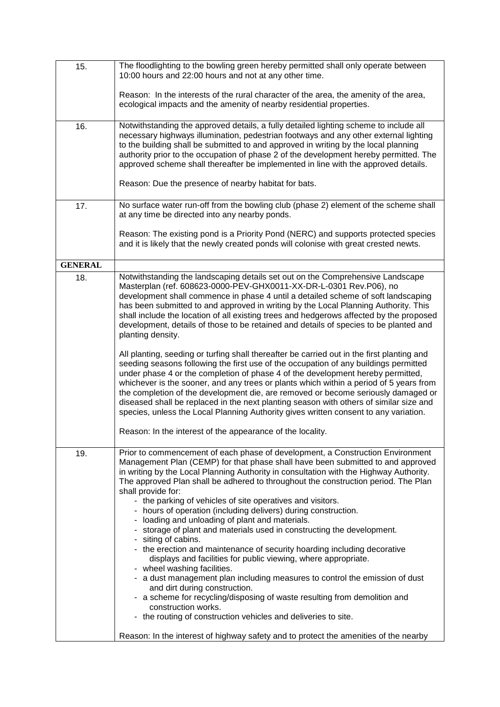| 15.            | The floodlighting to the bowling green hereby permitted shall only operate between<br>10:00 hours and 22:00 hours and not at any other time.                                                                                                                                                                                                                                                                                                                                                                                                                                                                                           |  |
|----------------|----------------------------------------------------------------------------------------------------------------------------------------------------------------------------------------------------------------------------------------------------------------------------------------------------------------------------------------------------------------------------------------------------------------------------------------------------------------------------------------------------------------------------------------------------------------------------------------------------------------------------------------|--|
|                | Reason: In the interests of the rural character of the area, the amenity of the area,<br>ecological impacts and the amenity of nearby residential properties.                                                                                                                                                                                                                                                                                                                                                                                                                                                                          |  |
| 16.            | Notwithstanding the approved details, a fully detailed lighting scheme to include all<br>necessary highways illumination, pedestrian footways and any other external lighting<br>to the building shall be submitted to and approved in writing by the local planning<br>authority prior to the occupation of phase 2 of the development hereby permitted. The<br>approved scheme shall thereafter be implemented in line with the approved details.<br>Reason: Due the presence of nearby habitat for bats.                                                                                                                            |  |
| 17.            | No surface water run-off from the bowling club (phase 2) element of the scheme shall<br>at any time be directed into any nearby ponds.<br>Reason: The existing pond is a Priority Pond (NERC) and supports protected species                                                                                                                                                                                                                                                                                                                                                                                                           |  |
|                | and it is likely that the newly created ponds will colonise with great crested newts.                                                                                                                                                                                                                                                                                                                                                                                                                                                                                                                                                  |  |
| <b>GENERAL</b> |                                                                                                                                                                                                                                                                                                                                                                                                                                                                                                                                                                                                                                        |  |
| 18.            | Notwithstanding the landscaping details set out on the Comprehensive Landscape<br>Masterplan (ref. 608623-0000-PEV-GHX0011-XX-DR-L-0301 Rev.P06), no<br>development shall commence in phase 4 until a detailed scheme of soft landscaping<br>has been submitted to and approved in writing by the Local Planning Authority. This<br>shall include the location of all existing trees and hedgerows affected by the proposed<br>development, details of those to be retained and details of species to be planted and<br>planting density.                                                                                              |  |
|                | All planting, seeding or turfing shall thereafter be carried out in the first planting and<br>seeding seasons following the first use of the occupation of any buildings permitted<br>under phase 4 or the completion of phase 4 of the development hereby permitted,<br>whichever is the sooner, and any trees or plants which within a period of 5 years from<br>the completion of the development die, are removed or become seriously damaged or<br>diseased shall be replaced in the next planting season with others of similar size and<br>species, unless the Local Planning Authority gives written consent to any variation. |  |
|                | Reason: In the interest of the appearance of the locality.                                                                                                                                                                                                                                                                                                                                                                                                                                                                                                                                                                             |  |
| 19.            | Prior to commencement of each phase of development, a Construction Environment<br>Management Plan (CEMP) for that phase shall have been submitted to and approved<br>in writing by the Local Planning Authority in consultation with the Highway Authority.<br>The approved Plan shall be adhered to throughout the construction period. The Plan<br>shall provide for:<br>- the parking of vehicles of site operatives and visitors.<br>- hours of operation (including delivers) during construction.<br>- loading and unloading of plant and materials.                                                                             |  |
|                | - storage of plant and materials used in constructing the development.                                                                                                                                                                                                                                                                                                                                                                                                                                                                                                                                                                 |  |
|                | - siting of cabins.<br>- the erection and maintenance of security hoarding including decorative<br>displays and facilities for public viewing, where appropriate.<br>- wheel washing facilities.                                                                                                                                                                                                                                                                                                                                                                                                                                       |  |
|                | - a dust management plan including measures to control the emission of dust<br>and dirt during construction.<br>- a scheme for recycling/disposing of waste resulting from demolition and                                                                                                                                                                                                                                                                                                                                                                                                                                              |  |
|                | construction works.<br>- the routing of construction vehicles and deliveries to site.                                                                                                                                                                                                                                                                                                                                                                                                                                                                                                                                                  |  |
|                | Reason: In the interest of highway safety and to protect the amenities of the nearby                                                                                                                                                                                                                                                                                                                                                                                                                                                                                                                                                   |  |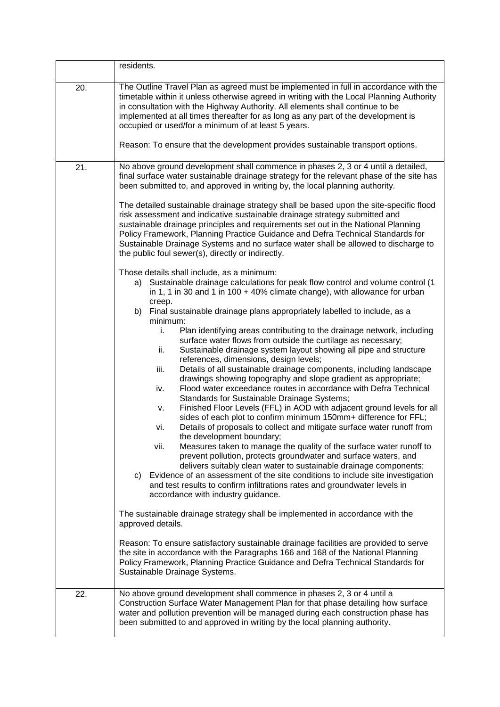|     | residents.                                                                                                                                                                                                                                                                                                                                                                                                                                                                                                                                                                                                                                                                                                                                                                                                                                                                                                                                                                                                                                                                                                                                                                                                                                        |  |
|-----|---------------------------------------------------------------------------------------------------------------------------------------------------------------------------------------------------------------------------------------------------------------------------------------------------------------------------------------------------------------------------------------------------------------------------------------------------------------------------------------------------------------------------------------------------------------------------------------------------------------------------------------------------------------------------------------------------------------------------------------------------------------------------------------------------------------------------------------------------------------------------------------------------------------------------------------------------------------------------------------------------------------------------------------------------------------------------------------------------------------------------------------------------------------------------------------------------------------------------------------------------|--|
| 20. | The Outline Travel Plan as agreed must be implemented in full in accordance with the<br>timetable within it unless otherwise agreed in writing with the Local Planning Authority<br>in consultation with the Highway Authority. All elements shall continue to be<br>implemented at all times thereafter for as long as any part of the development is<br>occupied or used/for a minimum of at least 5 years.                                                                                                                                                                                                                                                                                                                                                                                                                                                                                                                                                                                                                                                                                                                                                                                                                                     |  |
|     | Reason: To ensure that the development provides sustainable transport options.                                                                                                                                                                                                                                                                                                                                                                                                                                                                                                                                                                                                                                                                                                                                                                                                                                                                                                                                                                                                                                                                                                                                                                    |  |
| 21. | No above ground development shall commence in phases 2, 3 or 4 until a detailed,<br>final surface water sustainable drainage strategy for the relevant phase of the site has<br>been submitted to, and approved in writing by, the local planning authority.                                                                                                                                                                                                                                                                                                                                                                                                                                                                                                                                                                                                                                                                                                                                                                                                                                                                                                                                                                                      |  |
|     | The detailed sustainable drainage strategy shall be based upon the site-specific flood<br>risk assessment and indicative sustainable drainage strategy submitted and<br>sustainable drainage principles and requirements set out in the National Planning<br>Policy Framework, Planning Practice Guidance and Defra Technical Standards for<br>Sustainable Drainage Systems and no surface water shall be allowed to discharge to<br>the public foul sewer(s), directly or indirectly.                                                                                                                                                                                                                                                                                                                                                                                                                                                                                                                                                                                                                                                                                                                                                            |  |
|     | Those details shall include, as a minimum:<br>a) Sustainable drainage calculations for peak flow control and volume control (1<br>in 1, 1 in 30 and 1 in 100 $+$ 40% climate change), with allowance for urban<br>creep.                                                                                                                                                                                                                                                                                                                                                                                                                                                                                                                                                                                                                                                                                                                                                                                                                                                                                                                                                                                                                          |  |
|     | Final sustainable drainage plans appropriately labelled to include, as a<br>b)<br>minimum:                                                                                                                                                                                                                                                                                                                                                                                                                                                                                                                                                                                                                                                                                                                                                                                                                                                                                                                                                                                                                                                                                                                                                        |  |
|     | Plan identifying areas contributing to the drainage network, including<br>i.<br>surface water flows from outside the curtilage as necessary;<br>Sustainable drainage system layout showing all pipe and structure<br>ii.<br>references, dimensions, design levels;<br>Details of all sustainable drainage components, including landscape<br>iii.<br>drawings showing topography and slope gradient as appropriate;<br>Flood water exceedance routes in accordance with Defra Technical<br>iv.<br>Standards for Sustainable Drainage Systems;<br>Finished Floor Levels (FFL) in AOD with adjacent ground levels for all<br>v.<br>sides of each plot to confirm minimum 150mm+ difference for FFL;<br>Details of proposals to collect and mitigate surface water runoff from<br>vi.<br>the development boundary;<br>Measures taken to manage the quality of the surface water runoff to<br>vii.<br>prevent pollution, protects groundwater and surface waters, and<br>delivers suitably clean water to sustainable drainage components;<br>Evidence of an assessment of the site conditions to include site investigation<br>C)<br>and test results to confirm infiltrations rates and groundwater levels in<br>accordance with industry guidance. |  |
|     | The sustainable drainage strategy shall be implemented in accordance with the<br>approved details.<br>Reason: To ensure satisfactory sustainable drainage facilities are provided to serve<br>the site in accordance with the Paragraphs 166 and 168 of the National Planning<br>Policy Framework, Planning Practice Guidance and Defra Technical Standards for                                                                                                                                                                                                                                                                                                                                                                                                                                                                                                                                                                                                                                                                                                                                                                                                                                                                                   |  |
|     | Sustainable Drainage Systems.                                                                                                                                                                                                                                                                                                                                                                                                                                                                                                                                                                                                                                                                                                                                                                                                                                                                                                                                                                                                                                                                                                                                                                                                                     |  |
| 22. | No above ground development shall commence in phases 2, 3 or 4 until a<br>Construction Surface Water Management Plan for that phase detailing how surface<br>water and pollution prevention will be managed during each construction phase has<br>been submitted to and approved in writing by the local planning authority.                                                                                                                                                                                                                                                                                                                                                                                                                                                                                                                                                                                                                                                                                                                                                                                                                                                                                                                      |  |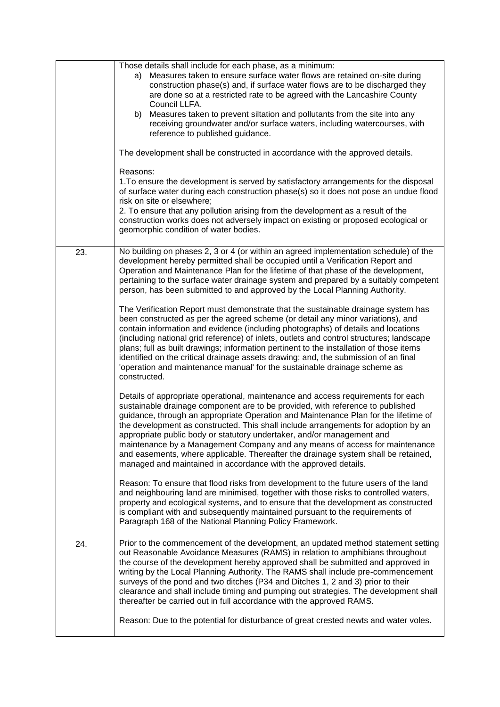|     | Those details shall include for each phase, as a minimum:<br>a) Measures taken to ensure surface water flows are retained on-site during<br>construction phase(s) and, if surface water flows are to be discharged they<br>are done so at a restricted rate to be agreed with the Lancashire County<br>Council LLFA.<br>Measures taken to prevent siltation and pollutants from the site into any<br>b)<br>receiving groundwater and/or surface waters, including watercourses, with<br>reference to published guidance.                                                                                                                                          |
|-----|-------------------------------------------------------------------------------------------------------------------------------------------------------------------------------------------------------------------------------------------------------------------------------------------------------------------------------------------------------------------------------------------------------------------------------------------------------------------------------------------------------------------------------------------------------------------------------------------------------------------------------------------------------------------|
|     | The development shall be constructed in accordance with the approved details.                                                                                                                                                                                                                                                                                                                                                                                                                                                                                                                                                                                     |
|     | Reasons:<br>1. To ensure the development is served by satisfactory arrangements for the disposal<br>of surface water during each construction phase(s) so it does not pose an undue flood<br>risk on site or elsewhere;                                                                                                                                                                                                                                                                                                                                                                                                                                           |
|     | 2. To ensure that any pollution arising from the development as a result of the<br>construction works does not adversely impact on existing or proposed ecological or<br>geomorphic condition of water bodies.                                                                                                                                                                                                                                                                                                                                                                                                                                                    |
| 23. | No building on phases 2, 3 or 4 (or within an agreed implementation schedule) of the<br>development hereby permitted shall be occupied until a Verification Report and<br>Operation and Maintenance Plan for the lifetime of that phase of the development,<br>pertaining to the surface water drainage system and prepared by a suitably competent<br>person, has been submitted to and approved by the Local Planning Authority.                                                                                                                                                                                                                                |
|     | The Verification Report must demonstrate that the sustainable drainage system has<br>been constructed as per the agreed scheme (or detail any minor variations), and<br>contain information and evidence (including photographs) of details and locations<br>(including national grid reference) of inlets, outlets and control structures; landscape<br>plans; full as built drawings; information pertinent to the installation of those items<br>identified on the critical drainage assets drawing; and, the submission of an final<br>'operation and maintenance manual' for the sustainable drainage scheme as<br>constructed.                              |
|     | Details of appropriate operational, maintenance and access requirements for each<br>sustainable drainage component are to be provided, with reference to published<br>guidance, through an appropriate Operation and Maintenance Plan for the lifetime of<br>the development as constructed. This shall include arrangements for adoption by an<br>appropriate public body or statutory undertaker, and/or management and<br>maintenance by a Management Company and any means of access for maintenance<br>and easements, where applicable. Thereafter the drainage system shall be retained,<br>managed and maintained in accordance with the approved details. |
|     | Reason: To ensure that flood risks from development to the future users of the land<br>and neighbouring land are minimised, together with those risks to controlled waters,<br>property and ecological systems, and to ensure that the development as constructed<br>is compliant with and subsequently maintained pursuant to the requirements of<br>Paragraph 168 of the National Planning Policy Framework.                                                                                                                                                                                                                                                    |
| 24. | Prior to the commencement of the development, an updated method statement setting<br>out Reasonable Avoidance Measures (RAMS) in relation to amphibians throughout<br>the course of the development hereby approved shall be submitted and approved in<br>writing by the Local Planning Authority. The RAMS shall include pre-commencement<br>surveys of the pond and two ditches (P34 and Ditches 1, 2 and 3) prior to their<br>clearance and shall include timing and pumping out strategies. The development shall<br>thereafter be carried out in full accordance with the approved RAMS.                                                                     |
|     | Reason: Due to the potential for disturbance of great crested newts and water voles.                                                                                                                                                                                                                                                                                                                                                                                                                                                                                                                                                                              |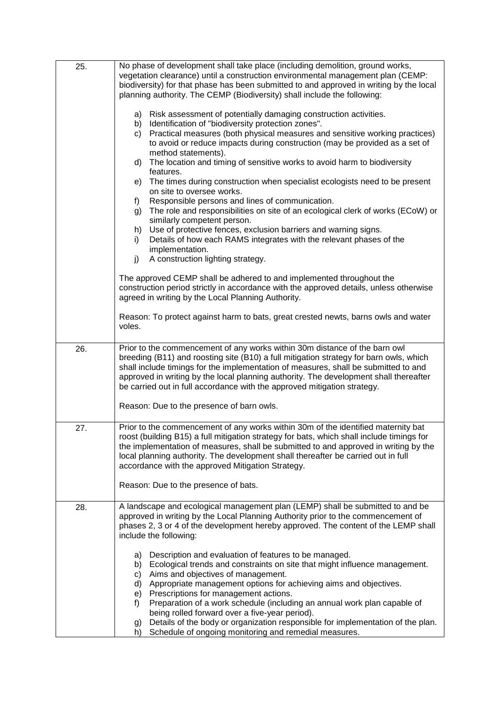| 25. | No phase of development shall take place (including demolition, ground works,<br>vegetation clearance) until a construction environmental management plan (CEMP:<br>biodiversity) for that phase has been submitted to and approved in writing by the local<br>planning authority. The CEMP (Biodiversity) shall include the following:<br>a) Risk assessment of potentially damaging construction activities.<br>Identification of "biodiversity protection zones".<br>b)<br>Practical measures (both physical measures and sensitive working practices)<br>C)<br>to avoid or reduce impacts during construction (may be provided as a set of<br>method statements).<br>The location and timing of sensitive works to avoid harm to biodiversity<br>d)<br>features.<br>The times during construction when specialist ecologists need to be present<br>e)<br>on site to oversee works.<br>Responsible persons and lines of communication.<br>f)<br>The role and responsibilities on site of an ecological clerk of works (ECoW) or<br>g)<br>similarly competent person.<br>Use of protective fences, exclusion barriers and warning signs.<br>h)<br>Details of how each RAMS integrates with the relevant phases of the<br>i)<br>implementation.<br>A construction lighting strategy.<br>j)<br>The approved CEMP shall be adhered to and implemented throughout the<br>construction period strictly in accordance with the approved details, unless otherwise<br>agreed in writing by the Local Planning Authority.<br>Reason: To protect against harm to bats, great crested newts, barns owls and water<br>voles. |
|-----|---------------------------------------------------------------------------------------------------------------------------------------------------------------------------------------------------------------------------------------------------------------------------------------------------------------------------------------------------------------------------------------------------------------------------------------------------------------------------------------------------------------------------------------------------------------------------------------------------------------------------------------------------------------------------------------------------------------------------------------------------------------------------------------------------------------------------------------------------------------------------------------------------------------------------------------------------------------------------------------------------------------------------------------------------------------------------------------------------------------------------------------------------------------------------------------------------------------------------------------------------------------------------------------------------------------------------------------------------------------------------------------------------------------------------------------------------------------------------------------------------------------------------------------------------------------------------------------------------------------------|
|     |                                                                                                                                                                                                                                                                                                                                                                                                                                                                                                                                                                                                                                                                                                                                                                                                                                                                                                                                                                                                                                                                                                                                                                                                                                                                                                                                                                                                                                                                                                                                                                                                                     |
| 26. | Prior to the commencement of any works within 30m distance of the barn owl<br>breeding (B11) and roosting site (B10) a full mitigation strategy for barn owls, which<br>shall include timings for the implementation of measures, shall be submitted to and<br>approved in writing by the local planning authority. The development shall thereafter<br>be carried out in full accordance with the approved mitigation strategy.<br>Reason: Due to the presence of barn owls.                                                                                                                                                                                                                                                                                                                                                                                                                                                                                                                                                                                                                                                                                                                                                                                                                                                                                                                                                                                                                                                                                                                                       |
| 27. | Prior to the commencement of any works within 30m of the identified maternity bat<br>roost (building B15) a full mitigation strategy for bats, which shall include timings for<br>the implementation of measures, shall be submitted to and approved in writing by the<br>local planning authority. The development shall thereafter be carried out in full<br>accordance with the approved Mitigation Strategy.<br>Reason: Due to the presence of bats.                                                                                                                                                                                                                                                                                                                                                                                                                                                                                                                                                                                                                                                                                                                                                                                                                                                                                                                                                                                                                                                                                                                                                            |
| 28. | A landscape and ecological management plan (LEMP) shall be submitted to and be<br>approved in writing by the Local Planning Authority prior to the commencement of<br>phases 2, 3 or 4 of the development hereby approved. The content of the LEMP shall<br>include the following:<br>Description and evaluation of features to be managed.<br>a)<br>Ecological trends and constraints on site that might influence management.<br>b)<br>Aims and objectives of management.<br>C)<br>Appropriate management options for achieving aims and objectives.<br>d)<br>Prescriptions for management actions.<br>e)<br>Preparation of a work schedule (including an annual work plan capable of<br>f)<br>being rolled forward over a five-year period).<br>Details of the body or organization responsible for implementation of the plan.<br>g)<br>Schedule of ongoing monitoring and remedial measures.<br>h)                                                                                                                                                                                                                                                                                                                                                                                                                                                                                                                                                                                                                                                                                                             |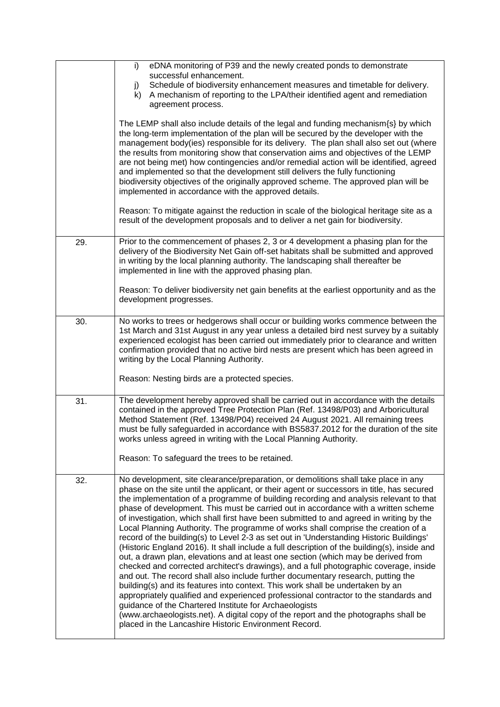|     | eDNA monitoring of P39 and the newly created ponds to demonstrate<br>i)<br>successful enhancement.<br>Schedule of biodiversity enhancement measures and timetable for delivery.<br>j)<br>A mechanism of reporting to the LPA/their identified agent and remediation<br>k)<br>agreement process.<br>The LEMP shall also include details of the legal and funding mechanism{s} by which<br>the long-term implementation of the plan will be secured by the developer with the<br>management body(ies) responsible for its delivery. The plan shall also set out (where<br>the results from monitoring show that conservation aims and objectives of the LEMP<br>are not being met) how contingencies and/or remedial action will be identified, agreed<br>and implemented so that the development still delivers the fully functioning<br>biodiversity objectives of the originally approved scheme. The approved plan will be<br>implemented in accordance with the approved details.<br>Reason: To mitigate against the reduction in scale of the biological heritage site as a<br>result of the development proposals and to deliver a net gain for biodiversity.                                                                                                                                                                                                                             |
|-----|------------------------------------------------------------------------------------------------------------------------------------------------------------------------------------------------------------------------------------------------------------------------------------------------------------------------------------------------------------------------------------------------------------------------------------------------------------------------------------------------------------------------------------------------------------------------------------------------------------------------------------------------------------------------------------------------------------------------------------------------------------------------------------------------------------------------------------------------------------------------------------------------------------------------------------------------------------------------------------------------------------------------------------------------------------------------------------------------------------------------------------------------------------------------------------------------------------------------------------------------------------------------------------------------------------------------------------------------------------------------------------------------|
| 29. | Prior to the commencement of phases 2, 3 or 4 development a phasing plan for the<br>delivery of the Biodiversity Net Gain off-set habitats shall be submitted and approved<br>in writing by the local planning authority. The landscaping shall thereafter be<br>implemented in line with the approved phasing plan.<br>Reason: To deliver biodiversity net gain benefits at the earliest opportunity and as the<br>development progresses.                                                                                                                                                                                                                                                                                                                                                                                                                                                                                                                                                                                                                                                                                                                                                                                                                                                                                                                                                    |
| 30. | No works to trees or hedgerows shall occur or building works commence between the<br>1st March and 31st August in any year unless a detailed bird nest survey by a suitably<br>experienced ecologist has been carried out immediately prior to clearance and written<br>confirmation provided that no active bird nests are present which has been agreed in<br>writing by the Local Planning Authority.<br>Reason: Nesting birds are a protected species.                                                                                                                                                                                                                                                                                                                                                                                                                                                                                                                                                                                                                                                                                                                                                                                                                                                                                                                                     |
| 31. | The development hereby approved shall be carried out in accordance with the details<br>contained in the approved Tree Protection Plan (Ref. 13498/P03) and Arboricultural<br>Method Statement (Ref. 13498/P04) received 24 August 2021. All remaining trees<br>must be fully safequarded in accordance with BS5837.2012 for the duration of the site<br>works unless agreed in writing with the Local Planning Authority.<br>Reason: To safeguard the trees to be retained.                                                                                                                                                                                                                                                                                                                                                                                                                                                                                                                                                                                                                                                                                                                                                                                                                                                                                                                    |
| 32. | No development, site clearance/preparation, or demolitions shall take place in any<br>phase on the site until the applicant, or their agent or successors in title, has secured<br>the implementation of a programme of building recording and analysis relevant to that<br>phase of development. This must be carried out in accordance with a written scheme<br>of investigation, which shall first have been submitted to and agreed in writing by the<br>Local Planning Authority. The programme of works shall comprise the creation of a<br>record of the building(s) to Level 2-3 as set out in 'Understanding Historic Buildings'<br>(Historic England 2016). It shall include a full description of the building(s), inside and<br>out, a drawn plan, elevations and at least one section (which may be derived from<br>checked and corrected architect's drawings), and a full photographic coverage, inside<br>and out. The record shall also include further documentary research, putting the<br>building(s) and its features into context. This work shall be undertaken by an<br>appropriately qualified and experienced professional contractor to the standards and<br>guidance of the Chartered Institute for Archaeologists<br>(www.archaeologists.net). A digital copy of the report and the photographs shall be<br>placed in the Lancashire Historic Environment Record. |